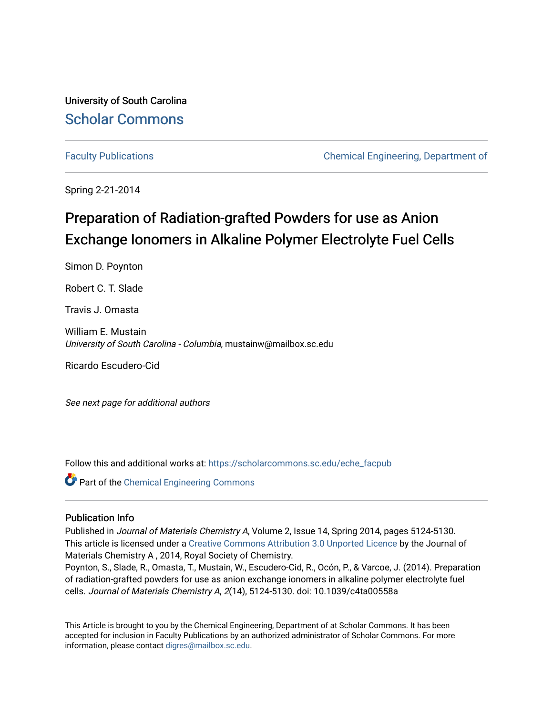University of South Carolina [Scholar Commons](https://scholarcommons.sc.edu/) 

[Faculty Publications](https://scholarcommons.sc.edu/eche_facpub) [Chemical Engineering, Department of](https://scholarcommons.sc.edu/eche) 

Spring 2-21-2014

# Preparation of Radiation-grafted Powders for use as Anion Exchange Ionomers in Alkaline Polymer Electrolyte Fuel Cells

Simon D. Poynton

Robert C. T. Slade

Travis J. Omasta

William E. Mustain University of South Carolina - Columbia, mustainw@mailbox.sc.edu

Ricardo Escudero-Cid

See next page for additional authors

Follow this and additional works at: [https://scholarcommons.sc.edu/eche\\_facpub](https://scholarcommons.sc.edu/eche_facpub?utm_source=scholarcommons.sc.edu%2Feche_facpub%2F1050&utm_medium=PDF&utm_campaign=PDFCoverPages) 

Part of the [Chemical Engineering Commons](http://network.bepress.com/hgg/discipline/240?utm_source=scholarcommons.sc.edu%2Feche_facpub%2F1050&utm_medium=PDF&utm_campaign=PDFCoverPages)

### Publication Info

Published in Journal of Materials Chemistry A, Volume 2, Issue 14, Spring 2014, pages 5124-5130. This article is licensed under a [Creative Commons Attribution 3.0 Unported Licence](http://creativecommons.org/licenses/by/3.0/) by the Journal of Materials Chemistry A , 2014, Royal Society of Chemistry.

Poynton, S., Slade, R., Omasta, T., Mustain, W., Escudero-Cid, R., Ocón, P., & Varcoe, J. (2014). Preparation of radiation-grafted powders for use as anion exchange ionomers in alkaline polymer electrolyte fuel cells. Journal of Materials Chemistry A, 2(14), 5124-5130. doi: 10.1039/c4ta00558a

This Article is brought to you by the Chemical Engineering, Department of at Scholar Commons. It has been accepted for inclusion in Faculty Publications by an authorized administrator of Scholar Commons. For more information, please contact [digres@mailbox.sc.edu.](mailto:digres@mailbox.sc.edu)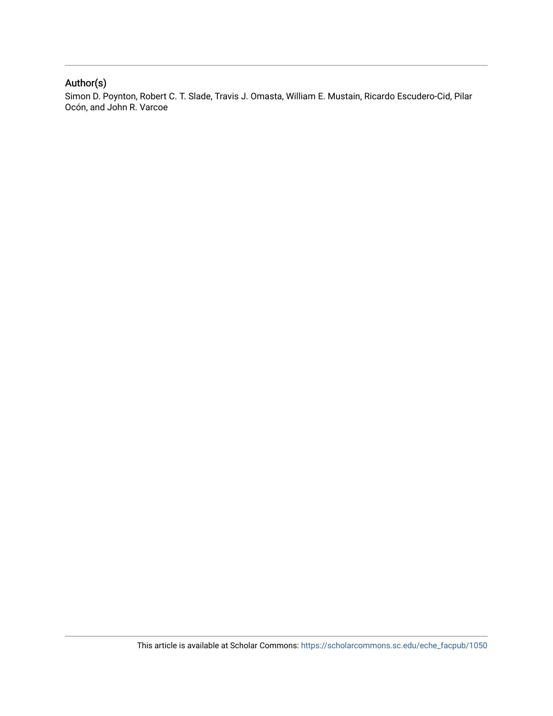## Author(s)

Simon D. Poynton, Robert C. T. Slade, Travis J. Omasta, William E. Mustain, Ricardo Escudero-Cid, Pilar Ocón, and John R. Varcoe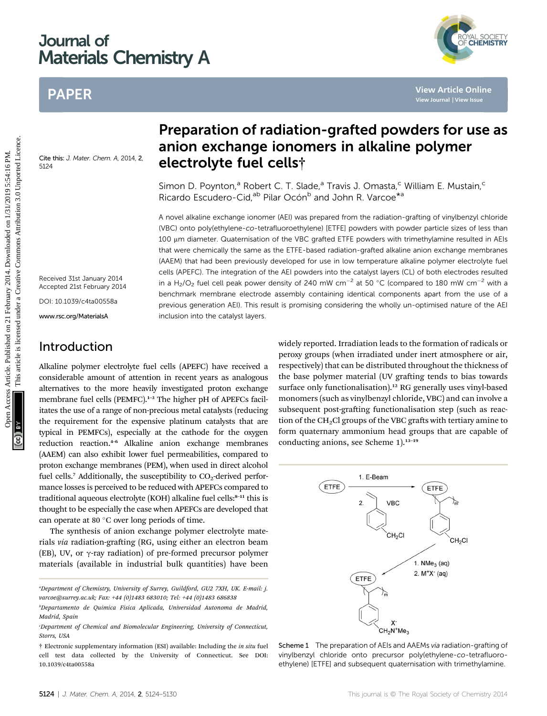# Journal of Materials Chemistry A

# PAPER

YAL SOCIETY<br>**CHEMISTRY** 

Cite this: J. Mater. Chem. A, 2014, 2, 5124

Received 31st January 2014

Accepted 21st February 2014

DOI: 10.1039/c4ta00558a www.rsc.org/MaterialsA

## Introduction

Alkaline polymer electrolyte fuel cells (APEFC) have received a considerable amount of attention in recent years as analogous alternatives to the more heavily investigated proton exchange membrane fuel cells (PEMFC).<sup>1-3</sup> The higher pH of APEFCs facilitates the use of a range of non-precious metal catalysts (reducing the requirement for the expensive platinum catalysts that are typical in PEMFCs), especially at the cathode for the oxygen reduction reaction.<sup>4</sup>–<sup>6</sup> Alkaline anion exchange membranes (AAEM) can also exhibit lower fuel permeabilities, compared to proton exchange membranes (PEM), when used in direct alcohol fuel cells.<sup>7</sup> Additionally, the susceptibility to  $CO<sub>2</sub>$ -derived performance losses is perceived to be reduced with APEFCs compared to traditional aqueous electrolyte (KOH) alkaline fuel cells:<sup>8-11</sup> this is thought to be especially the case when APEFCs are developed that can operate at 80 $\degree$ C over long periods of time.

The synthesis of anion exchange polymer electrolyte materials via radiation-grafting (RG, using either an electron beam (EB), UV, or  $\gamma$ -ray radiation) of pre-formed precursor polymer materials (available in industrial bulk quantities) have been

a Department of Chemistry, University of Surrey, Guildford, GU2 7XH, UK. E-mail: j. varcoe@surrey.ac.uk; Fax: +44 (0)1483 683010; Tel: +44 (0)1483 686838

# Preparation of radiation-grafted powders for use as anion exchange ionomers in alkaline polymer electrolyte fuel cells†

Simon D. Poynton,<sup>a</sup> Robert C. T. Slade,<sup>a</sup> Travis J. Omasta,<sup>c</sup> William E. Mustain,<sup>c</sup> Ricardo Escudero-Cid,<sup>ab</sup> Pilar Ocón<sup>b</sup> and John R. Varcoe<sup>\*a</sup>

A novel alkaline exchange ionomer (AEI) was prepared from the radiation-grafting of vinylbenzyl chloride (VBC) onto poly(ethylene-co-tetrafluoroethylene) [ETFE] powders with powder particle sizes of less than 100 um diameter. Quaternisation of the VBC grafted ETFE powders with trimethylamine resulted in AEIs that were chemically the same as the ETFE-based radiation-grafted alkaline anion exchange membranes (AAEM) that had been previously developed for use in low temperature alkaline polymer electrolyte fuel cells (APEFC). The integration of the AEI powders into the catalyst layers (CL) of both electrodes resulted in a H<sub>2</sub>/O<sub>2</sub> fuel cell peak power density of 240 mW cm<sup>-2</sup> at 50 °C (compared to 180 mW cm<sup>-2</sup> with a benchmark membrane electrode assembly containing identical components apart from the use of a previous generation AEI). This result is promising considering the wholly un-optimised nature of the AEI inclusion into the catalyst layers. **PAPER**<br> **Preparation of radiation-grafted powders for use<br>
anion exchange ionomers in alkaline polymer<br>**  $\frac{25}{25}$ **<br>
Simon D. Poynton," Robert C. T. Slade," Travis J. Omasta," William E. Mustain,"<br>
Simon D. Poynton," Rob** 

widely reported. Irradiation leads to the formation of radicals or peroxy groups (when irradiated under inert atmosphere or air, respectively) that can be distributed throughout the thickness of the base polymer material (UV grafting tends to bias towards surface only functionalisation).<sup>12</sup> RG generally uses vinyl-based monomers (such as vinylbenzyl chloride, VBC) and can involve a subsequent post-grafting functionalisation step (such as reaction of the CH<sub>2</sub>Cl groups of the VBC grafts with tertiary amine to form quaternary ammonium head groups that are capable of conducting anions, see Scheme 1).<sup>13-19</sup>



Scheme 1 The preparation of AEIs and AAEMs via radiation-grafting of vinylbenzyl chloride onto precursor poly(ethylene-co-tetrafluoroethylene) [ETFE] and subsequent quaternisation with trimethylamine.

b Departamento de Quimica Fisica Aplicada, Universidad Autonoma de Madrid, Madrid, Spain

c Department of Chemical and Biomolecular Engineering, University of Connecticut, Storrs, USA

<sup>†</sup> Electronic supplementary information (ESI) available: Including the in situ fuel cell test data collected by the University of Connecticut. See DOI: 10.1039/c4ta00558a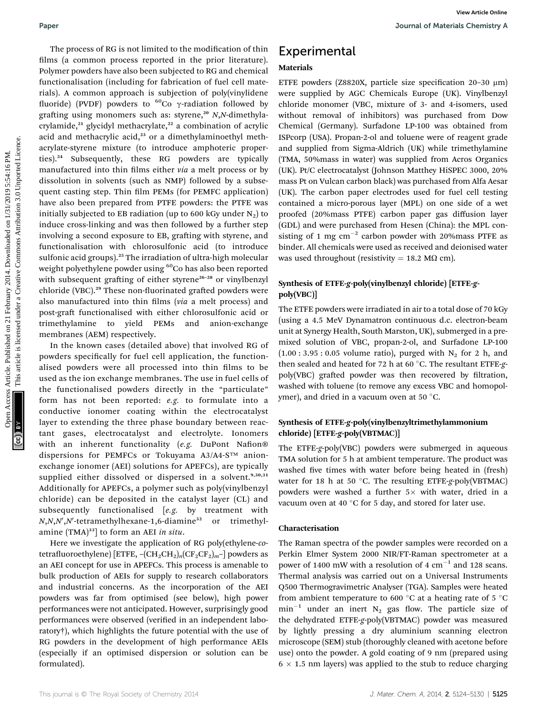The process of RG is not limited to the modification of thin films (a common process reported in the prior literature). Polymer powders have also been subjected to RG and chemical functionalisation (including for fabrication of fuel cell materials). A common approach is subjection of poly(vinylidene fluoride) (PVDF) powders to  ${}^{60}$ Co  $\gamma$ -radiation followed by grafting using monomers such as: styrene,<sup>20</sup> N,N-dimethylacrylamide, $^{21}$  glycidyl methacrylate, $^{22}$  a combination of acrylic acid and methacrylic acid,<sup>23</sup> or a dimethylaminoethyl methacrylate-styrene mixture (to introduce amphoteric properties).<sup>24</sup> Subsequently, these RG powders are typically manufactured into thin films either via a melt process or by dissolution in solvents (such as NMP) followed by a subsequent casting step. Thin film PEMs (for PEMFC application) have also been prepared from PTFE powders: the PTFE was initially subjected to EB radiation (up to 600 kGy under  $N_2$ ) to induce cross-linking and was then followed by a further step involving a second exposure to EB, grafting with styrene, and functionalisation with chlorosulfonic acid (to introduce sulfonic acid groups).<sup>25</sup> The irradiation of ultra-high molecular weight polyethylene powder using <sup>60</sup>Co has also been reported with subsequent grafting of either styrene<sup>26-28</sup> or vinylbenzyl chloride (VBC).<sup>29</sup> These non-fluorinated grafted powders were also manufactured into thin films (via a melt process) and post-graft functionalised with either chlorosulfonic acid or trimethylamine to yield PEMs and anion-exchange membranes (AEM) respectively. Paper<br>
The process of RG is not limited to the modification of this **Experimental**<br>
This (i.e. common process represent in a prior interation) **Material**<br>
This (i.e. common approach is subjected in prior limitation) Materi

In the known cases (detailed above) that involved RG of powders specifically for fuel cell application, the functionalised powders were all processed into thin films to be used as the ion exchange membranes. The use in fuel cells of the functionalised powders directly in the "particulate" form has not been reported: e.g. to formulate into a conductive ionomer coating within the electrocatalyst layer to extending the three phase boundary between reactant gases, electrocatalyst and electrolyte. Ionomers with an inherent functionality (e.g. DuPont Nafion® dispersions for PEMFCs or Tokuyama A3/A4-S™ anionexchange ionomer (AEI) solutions for APEFCs), are typically supplied either dissolved or dispersed in a solvent.<sup>9,30,31</sup> Additionally for APEFCs, a polymer such as poly(vinylbenzyl chloride) can be deposited in the catalyst layer (CL) and subsequently functionalised [e.g. by treatment with  $N$ , $N$ , $N'$ , $N'$ -tetramethylhexane-1,6-diamine $^{32}$  or trimethylamine  $(TMA)^{33}$ ] to form an AEI in situ.

Here we investigate the application of RG poly(ethylene-cotetrafluoroethylene) [ETFE,  $-(CH_2CH_2)_n(CF_2CF_2)_m$ -] powders as an AEI concept for use in APEFCs. This process is amenable to bulk production of AEIs for supply to research collaborators and industrial concerns. As the incorporation of the AEI powders was far from optimised (see below), high power performances were not anticipated. However, surprisingly good performances were observed (verified in an independent laboratory†), which highlights the future potential with the use of RG powders in the development of high performance AEIs (especially if an optimised dispersion or solution can be formulated).

## Experimental

### Materials

ETFE powders (Z8820X, particle size specification  $20-30 \mu m$ ) were supplied by AGC Chemicals Europe (UK). Vinylbenzyl chloride monomer (VBC, mixture of 3- and 4-isomers, used without removal of inhibitors) was purchased from Dow Chemical (Germany). Surfadone LP-100 was obtained from ISPcorp (USA). Propan-2-ol and toluene were of reagent grade and supplied from Sigma-Aldrich (UK) while trimethylamine (TMA, 50%mass in water) was supplied from Acros Organics (UK). Pt/C electrocatalyst (Johnson Matthey HiSPEC 3000, 20% mass Pt on Vulcan carbon black) was purchased from Alfa Aesar (UK). The carbon paper electrodes used for fuel cell testing contained a micro-porous layer (MPL) on one side of a wet proofed (20%mass PTFE) carbon paper gas diffusion layer (GDL) and were purchased from Hesen (China): the MPL consisting of 1 mg  $cm^{-2}$  carbon powder with 20%mass PTFE as binder. All chemicals were used as received and deionised water was used throughout (resistivity = 18.2 M $\Omega$  cm).

### Synthesis of ETFE-g-poly(vinylbenzyl chloride) [ETFE-gpoly(VBC)]

The ETFE powders were irradiated in air to a total dose of 70 kGy (using a 4.5 MeV Dynamatron continuous d.c. electron-beam unit at Synergy Health, South Marston, UK), submerged in a premixed solution of VBC, propan-2-ol, and Surfadone LP-100  $(1.00:3.95:0.05$  volume ratio), purged with N<sub>2</sub> for 2 h, and then sealed and heated for 72 h at 60  $^{\circ}$ C. The resultant ETFE-gpoly(VBC) grafted powder was then recovered by filtration, washed with toluene (to remove any excess VBC and homopolymer), and dried in a vacuum oven at 50 °C.

### Synthesis of ETFE-g-poly(vinylbenzyltrimethylammonium chloride) [ETFE-g-poly(VBTMAC)]

The ETFE-g-poly(VBC) powders were submerged in aqueous TMA solution for 5 h at ambient temperature. The product was washed five times with water before being heated in (fresh) water for 18 h at 50 °C. The resulting ETFE-g-poly(VBTMAC) powders were washed a further  $5 \times$  with water, dried in a vacuum oven at 40 $\degree$ C for 5 day, and stored for later use.

#### Characterisation

The Raman spectra of the powder samples were recorded on a Perkin Elmer System 2000 NIR/FT-Raman spectrometer at a power of 1400 mW with a resolution of 4  $cm^{-1}$  and 128 scans. Thermal analysis was carried out on a Universal Instruments Q500 Thermogravimetric Analyser (TGA). Samples were heated from ambient temperature to 600  $^{\circ}$ C at a heating rate of 5  $^{\circ}$ C  $min^{-1}$  under an inert N<sub>2</sub> gas flow. The particle size of the dehydrated ETFE-g-poly(VBTMAC) powder was measured by lightly pressing a dry aluminium scanning electron microscope (SEM) stub (thoroughly cleaned with acetone before use) onto the powder. A gold coating of 9 nm (prepared using  $6 \times 1.5$  nm layers) was applied to the stub to reduce charging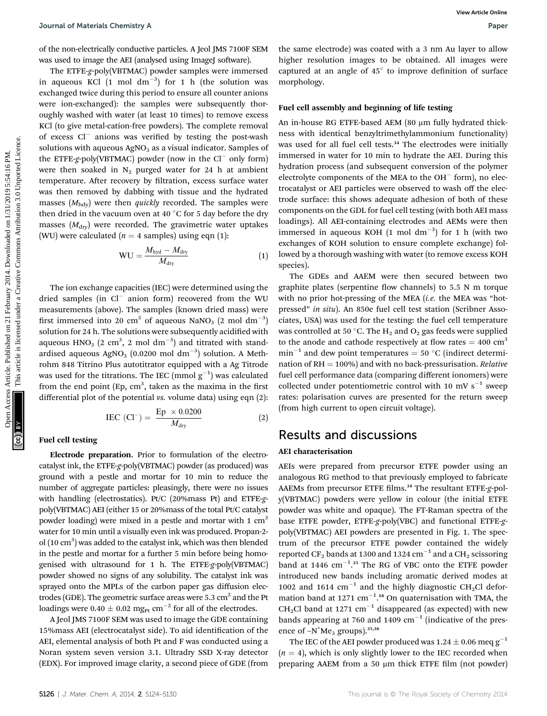of the non-electrically conductive particles. A Jeol JMS 7100F SEM was used to image the AEI (analysed using ImageJ software).

The ETFE-g-poly(VBTMAC) powder samples were immersed in aqueous KCl  $(1 \text{ mol dm}^{-3})$  for 1 h (the solution was exchanged twice during this period to ensure all counter anions were ion-exchanged): the samples were subsequently thoroughly washed with water (at least 10 times) to remove excess KCl (to give metal-cation-free powders). The complete removal of excess  $Cl^-$  anions was verified by testing the post-wash solutions with aqueous  $AgNO<sub>3</sub>$  as a visual indicator. Samples of the ETFE-g-poly(VBTMAC) powder (now in the  $Cl^-$  only form) were then soaked in  $N_2$  purged water for 24 h at ambient temperature. After recovery by filtration, excess surface water was then removed by dabbing with tissue and the hydrated masses  $(M<sub>hdv</sub>)$  were then *quickly* recorded. The samples were then dried in the vacuum oven at 40  $^{\circ}$ C for 5 day before the dry masses  $(M<sub>div</sub>)$  were recorded. The gravimetric water uptakes (WU) were calculated ( $n = 4$  samples) using eqn (1): Journal of Meteriatic Demistry Access Article. A Jos) 365 7:000 SMR in stance electrode) was coated with a 3 mm Au layer to allow we move the summinglife in the form of the move of the movement. All images were and the mo

$$
WU = \frac{M_{\text{hyd}} - M_{\text{dry}}}{M_{\text{dry}}}
$$
 (1)

The ion exchange capacities (IEC) were determined using the dried samples (in  $Cl^-$  anion form) recovered from the WU measurements (above). The samples (known dried mass) were first immersed into 20  $\text{cm}^3$  of aqueous NaNO<sub>3</sub> (2 mol  $\text{dm}^{-3}$ ) solution for 24 h. The solutions were subsequently acidified with aqueous  $\mathrm{HNO}_{3}$   $(2\,\,\mathrm{cm}^{3},\,2\,\,\mathrm{mol}\,\,\mathrm{dm}^{-3})$  and titrated with standardised aqueous AgNO $_3$   $(0.0200\,\, \mathrm{mol}\,\, \mathrm{d m}^{-3})$  solution. A Methrohm 848 Titrino Plus autotitrator equipped with a Ag Titrode was used for the titrations. The IEC (mmol  $\rm g^{-1})$  was calculated from the end point  $(Ep, cm^3,$  taken as the maxima in the first differential plot of the potential vs. volume data) using eqn (2):

$$
IEC (Cl^{-}) = \frac{Ep \times 0.0200}{M_{\text{dry}}}
$$
 (2)

#### Fuel cell testing

Electrode preparation. Prior to formulation of the electrocatalyst ink, the ETFE-g-poly(VBTMAC) powder (as produced) was ground with a pestle and mortar for 10 min to reduce the number of aggregate particles: pleasingly, there were no issues with handling (electrostatics). Pt/C (20%mass Pt) and ETFE-gpoly(VBTMAC) AEI (either 15 or 20%mass of the total Pt/C catalyst powder loading) were mixed in a pestle and mortar with 1 cm<sup>3</sup> water for 10 min until a visually even ink was produced. Propan-2 ol (10 cm<sup>3</sup>) was added to the catalyst ink, which was then blended in the pestle and mortar for a further 5 min before being homogenised with ultrasound for 1 h. The ETFE-g-poly(VBTMAC) powder showed no signs of any solubility. The catalyst ink was sprayed onto the MPLs of the carbon paper gas diffusion electrodes (GDE). The geometric surface areas were  $5.3 \text{ cm}^2$  and the Pt loadings were 0.40  $\pm$  0.02 mg<sub>Pt</sub> cm<sup>-2</sup> for all of the electrodes.

A Jeol JMS 7100F SEM was used to image the GDE containing 15%mass AEI (electrocatalyst side). To aid identification of the AEI, elemental analysis of both Pt and F was conducted using a Noran system seven version 3.1. Ultradry SSD X-ray detector (EDX). For improved image clarity, a second piece of GDE (from the same electrode) was coated with a 3 nm Au layer to allow higher resolution images to be obtained. All images were captured at an angle of  $45^\circ$  to improve definition of surface morphology.

#### Fuel cell assembly and beginning of life testing

An in-house RG ETFE-based AEM  $(80 \mu m)$  fully hydrated thickness with identical benzyltrimethylammonium functionality) was used for all fuel cell tests.<sup>34</sup> The electrodes were initially immersed in water for 10 min to hydrate the AEI. During this hydration process (and subsequent conversion of the polymer electrolyte components of the MEA to the OH $^-$  form), no electrocatalyst or AEI particles were observed to wash off the electrode surface: this shows adequate adhesion of both of these components on the GDL for fuel cell testing (with both AEI mass loadings). All AEI-containing electrodes and AEMs were then immersed in aqueous KOH  $(1 \text{ mol dm}^{-3})$  for 1 h (with two exchanges of KOH solution to ensure complete exchange) followed by a thorough washing with water (to remove excess KOH species).

The GDEs and AAEM were then secured between two graphite plates (serpentine flow channels) to  $5.5$  N m torque with no prior hot-pressing of the MEA  $(i.e.$  the MEA was "hotpressed" in situ). An 850e fuel cell test station (Scribner Associates, USA) was used for the testing: the fuel cell temperature was controlled at 50 °C. The  $H_2$  and  $O_2$  gas feeds were supplied to the anode and cathode respectively at flow rates  $= 400$  cm<sup>3</sup>  $min^{-1}$  and dew point temperatures = 50 °C (indirect determination of  $RH = 100\%$ ) and with no back-pressurisation. *Relative* fuel cell performance data (comparing different ionomers) were collected under potentiometric control with 10 mV  $s^{-1}$  sweep rates: polarisation curves are presented for the return sweep (from high current to open circuit voltage).

## Results and discussions

#### AEI characterisation

AEIs were prepared from precursor ETFE powder using an analogous RG method to that previously employed to fabricate AAEMs from precursor ETFE films.<sup>34</sup> The resultant ETFE-g-poly(VBTMAC) powders were yellow in colour (the initial ETFE powder was white and opaque). The FT-Raman spectra of the base ETFE powder, ETFE-g-poly(VBC) and functional ETFE-gpoly(VBTMAC) AEI powders are presented in Fig. 1. The spectrum of the precursor ETFE powder contained the widely reported CF<sub>2</sub> bands at 1300 and 1324  $\text{cm}^{-1}$  and a CH<sub>2</sub> scissoring band at  $1446$   $cm^{-1}$ .<sup>35</sup> The RG of VBC onto the ETFE powder introduced new bands including aromatic derived modes at 1002 and 1614  $\text{cm}^{-1}$  and the highly diagnostic CH<sub>2</sub>Cl deformation band at 1271  $cm^{-1}$ .<sup>18</sup> On quaternisation with TMA, the  $CH<sub>2</sub>Cl$  band at 1271 cm<sup>-1</sup> disappeared (as expected) with new bands appearing at 760 and 1409  $cm^{-1}$  (indicative of the presence of  $-N^+Me_3$  groups).<sup>35,36</sup>

The IEC of the AEI powder produced was  $1.24 \pm 0.06$  meq g<sup>-1</sup>  $(n = 4)$ , which is only slightly lower to the IEC recorded when preparing AAEM from a 50  $\mu$ m thick ETFE film (not powder)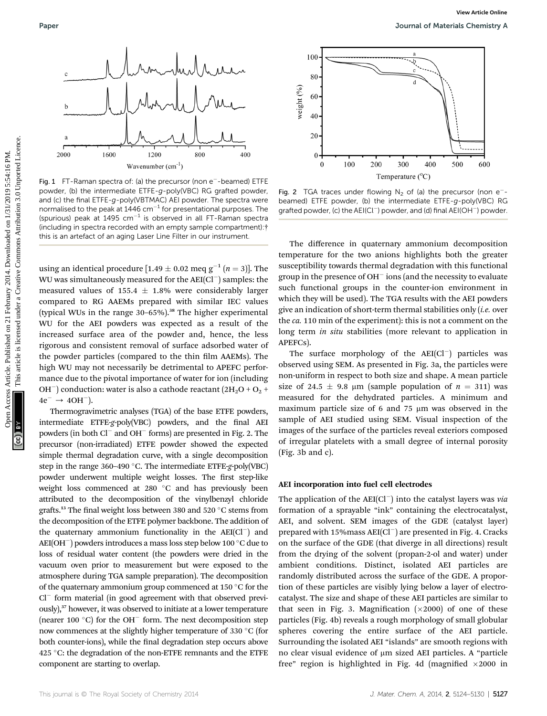

Fig. 1  $FT$ -Raman spectra of: (a) the precursor (non  $e^-$ -beamed) ETFE powder, (b) the intermediate ETFE-g-poly(VBC) RG grafted powder, and (c) the final ETFE-g-poly(VBTMAC) AEI powder. The spectra were normalised to the peak at  $1446$  cm<sup>-1</sup> for presentational purposes. The (spurious) peak at 1495  $cm^{-1}$  is observed in all FT-Raman spectra (including in spectra recorded with an empty sample compartment):† this is an artefact of an aging Laser Line Filter in our instrument.

using an identical procedure [1.49  $\pm$  0.02 meq g<sup>-1</sup> (n = 3)]. The WU was simultaneously measured for the  $AEI(Cl^-)$  samples: the measured values of 155.4  $\pm$  1.8% were considerably larger compared to RG AAEMs prepared with similar IEC values (typical WUs in the range 30–65%).<sup>38</sup> The higher experimental WU for the AEI powders was expected as a result of the increased surface area of the powder and, hence, the less rigorous and consistent removal of surface adsorbed water of the powder particles (compared to the thin film AAEMs). The high WU may not necessarily be detrimental to APEFC performance due to the pivotal importance of water for ion (including OH<sup>-</sup>) conduction: water is also a cathode reactant  $(2H<sub>2</sub>O + O<sub>2</sub> +$  $4e^- \rightarrow 4OH^{-}$ ). Paper<br>  $\frac{2}{3}$ <br>  $\frac{1}{3}$ <br>  $\frac{1}{3}$ <br>  $\frac{1}{3}$ <br>  $\frac{1}{3}$ <br>  $\frac{1}{3}$ <br>  $\frac{1}{3}$ <br>  $\frac{1}{3}$ <br>  $\frac{1}{3}$ <br>  $\frac{1}{3}$ <br>  $\frac{1}{3}$ <br>  $\frac{1}{3}$ <br>  $\frac{1}{3}$ <br>  $\frac{1}{3}$ <br>  $\frac{1}{3}$ <br>  $\frac{1}{3}$ <br>  $\frac{1}{3}$ <br>  $\frac{1}{3}$ <br>  $\frac{1}{3}$ <br>  $\frac{1$ 

Thermogravimetric analyses (TGA) of the base ETFE powders, intermediate ETFE-g-poly(VBC) powders, and the final AEI powders (in both  $Cl^-$  and  $OH^-$  forms) are presented in Fig. 2. The precursor (non-irradiated) ETFE powder showed the expected simple thermal degradation curve, with a single decomposition step in the range 360-490 °C. The intermediate ETFE-g-poly(VBC) powder underwent multiple weight losses. The first step-like weight loss commenced at 280 °C and has previously been attributed to the decomposition of the vinylbenzyl chloride grafts.<sup>13</sup> The final weight loss between 380 and 520  $\degree$ C stems from the decomposition of the ETFE polymer backbone. The addition of the quaternary ammonium functionality in the  $AEI(Cl^-)$  and  $AEI(OH^-)$  powders introduces a mass loss step below 100 °C due to loss of residual water content (the powders were dried in the vacuum oven prior to measurement but were exposed to the atmosphere during TGA sample preparation). The decomposition of the quaternary ammonium group commenced at 150  $\degree$ C for the  $Cl^-$  form material (in good agreement with that observed previously),<sup>37</sup> however, it was observed to initiate at a lower temperature (nearer 100 $^{\circ}$ C) for the OH<sup>-</sup> form. The next decomposition step now commences at the slightly higher temperature of 330 °C (for both counter-ions), while the final degradation step occurs above 425 °C: the degradation of the non-ETFE remnants and the ETFE component are starting to overlap.



Fig. 2 TGA traces under flowing  $N_2$  of (a) the precursor (non e<sup>-</sup>beamed) ETFE powder, (b) the intermediate ETFE-g-poly(VBC) RG grafted powder, (c) the  $AEI(Cl^-)$  powder, and (d) final  $AEI(OH^-)$  powder.

The difference in quaternary ammonium decomposition temperature for the two anions highlights both the greater susceptibility towards thermal degradation with this functional group in the presence of  $OH^-$  ions (and the necessity to evaluate such functional groups in the counter-ion environment in which they will be used). The TGA results with the AEI powders give an indication of short-term thermal stabilities only (i.e. over the ca. 110 min of the experiment): this is not a comment on the long term *in situ* stabilities (more relevant to application in APEFCs).

The surface morphology of the  $AEI(Cl^-)$  particles was observed using SEM. As presented in Fig. 3a, the particles were non-uniform in respect to both size and shape. A mean particle size of 24.5  $\pm$  9.8 µm (sample population of  $n = 311$ ) was measured for the dehydrated particles. A minimum and maximum particle size of 6 and 75  $\mu$ m was observed in the sample of AEI studied using SEM. Visual inspection of the images of the surface of the particles reveal exteriors composed of irregular platelets with a small degree of internal porosity (Fig. 3b and c).

#### AEI incorporation into fuel cell electrodes

The application of the  $AEI(Cl^-)$  into the catalyst layers was via formation of a sprayable "ink" containing the electrocatalyst, AEI, and solvent. SEM images of the GDE (catalyst layer) prepared with 15% mass  $AEI(Cl^-)$  are presented in Fig. 4. Cracks on the surface of the GDE (that diverge in all directions) result from the drying of the solvent (propan-2-ol and water) under ambient conditions. Distinct, isolated AEI particles are randomly distributed across the surface of the GDE. A proportion of these particles are visibly lying below a layer of electrocatalyst. The size and shape of these AEI particles are similar to that seen in Fig. 3. Magnification  $(x2000)$  of one of these particles (Fig. 4b) reveals a rough morphology of small globular spheres covering the entire surface of the AEI particle. Surrounding the isolated AEI "islands" are smooth regions with no clear visual evidence of µm sized AEI particles. A "particle free" region is highlighted in Fig. 4d (magnified  $\times 2000$  in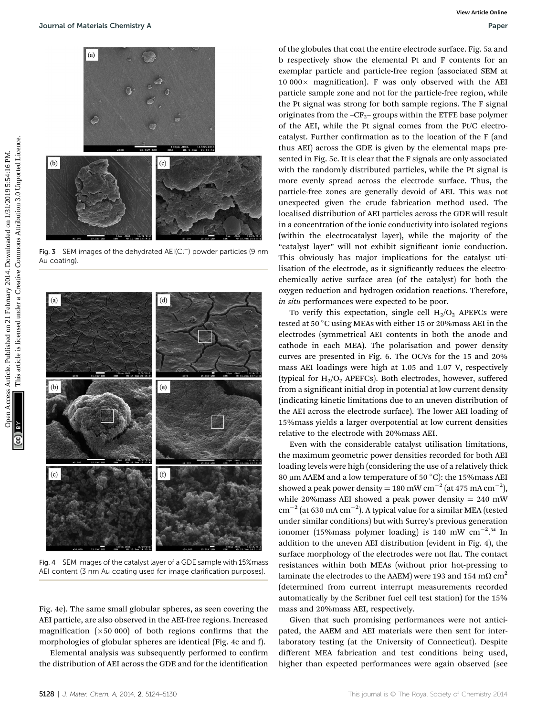

Fig. 3 SEM images of the dehydrated AEI(Cl<sup>-</sup>) powder particles (9 nm Au coating).



Fig. 4 SEM images of the catalyst layer of a GDE sample with 15%mass AEI content (3 nm Au coating used for image clarification purposes).

Fig. 4e). The same small globular spheres, as seen covering the AEI particle, are also observed in the AEI-free regions. Increased magnification  $(x50 000)$  of both regions confirms that the morphologies of globular spheres are identical (Fig. 4c and f).

Elemental analysis was subsequently performed to confirm the distribution of AEI across the GDE and for the identification

of the globules that coat the entire electrode surface. Fig. 5a and b respectively show the elemental Pt and F contents for an exemplar particle and particle-free region (associated SEM at  $10\ 000\times$  magnification). F was only observed with the AEI particle sample zone and not for the particle-free region, while the Pt signal was strong for both sample regions. The F signal originates from the  $-CF_2$ – groups within the ETFE base polymer of the AEI, while the Pt signal comes from the Pt/C electrocatalyst. Further confirmation as to the location of the F (and thus AEI) across the GDE is given by the elemental maps presented in Fig. 5c. It is clear that the F signals are only associated with the randomly distributed particles, while the Pt signal is more evenly spread across the electrode surface. Thus, the particle-free zones are generally devoid of AEI. This was not unexpected given the crude fabrication method used. The localised distribution of AEI particles across the GDE will result in a concentration of the ionic conductivity into isolated regions (within the electrocatalyst layer), while the majority of the "catalyst layer" will not exhibit significant ionic conduction. This obviously has major implications for the catalyst utilisation of the electrode, as it significantly reduces the electrochemically active surface area (of the catalyst) for both the oxygen reduction and hydrogen oxidation reactions. Therefore, in situ performances were expected to be poor. Sources Articles Chemistry Article. The point of the spinter of February 2014.<br>
The point of the point of February 2014. The point of February 2014 of the ARTICLE Simple come and not for the point of February 2014. This a

To verify this expectation, single cell  $H_2/O_2$  APEFCs were tested at 50 °C using MEAs with either 15 or 20% mass AEI in the electrodes (symmetrical AEI contents in both the anode and cathode in each MEA). The polarisation and power density curves are presented in Fig. 6. The OCVs for the 15 and 20% mass AEI loadings were high at 1.05 and 1.07 V, respectively (typical for  $H_2/O_2$  APEFCs). Both electrodes, however, suffered from a significant initial drop in potential at low current density (indicating kinetic limitations due to an uneven distribution of the AEI across the electrode surface). The lower AEI loading of 15%mass yields a larger overpotential at low current densities relative to the electrode with 20%mass AEI.

Even with the considerable catalyst utilisation limitations, the maximum geometric power densities recorded for both AEI loading levels were high (considering the use of a relatively thick 80 µm AAEM and a low temperature of 50 °C): the 15% mass AEI showed a peak power density = 180 mW cm<sup>-2</sup> (at 475 mA cm<sup>-2</sup>), while 20%mass AEI showed a peak power density  $= 240$  mW  $\text{cm}^{-2}$  (at 630 mA  $\text{cm}^{-2}$ ). A typical value for a similar MEA (tested under similar conditions) but with Surrey's previous generation ionomer (15%mass polymer loading) is 140 mW  $cm^{-2}$ .<sup>34</sup> In addition to the uneven AEI distribution (evident in Fig. 4), the surface morphology of the electrodes were not flat. The contact resistances within both MEAs (without prior hot-pressing to laminate the electrodes to the AAEM) were 193 and 154 m $\Omega$  cm<sup>2</sup> (determined from current interrupt measurements recorded automatically by the Scribner fuel cell test station) for the 15% mass and 20%mass AEI, respectively.

Given that such promising performances were not anticipated, the AAEM and AEI materials were then sent for interlaboratory testing (at the University of Connecticut). Despite different MEA fabrication and test conditions being used, higher than expected performances were again observed (see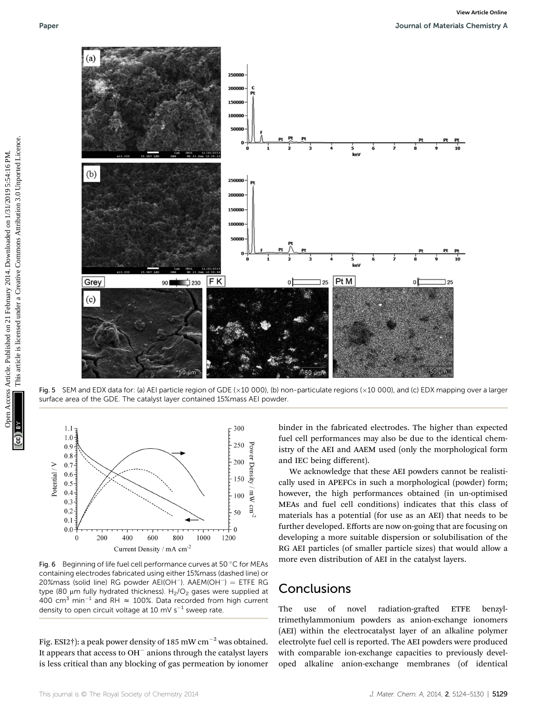

Fig. 5 SEM and EDX data for: (a) AEI particle region of GDE ( $\times 10$  000), (b) non-particulate regions ( $\times 10$  000), and (c) EDX mapping over a larger surface area of the GDE. The catalyst layer contained 15%mass AEI powder.



Fig. 6 Beginning of life fuel cell performance curves at 50  $\degree$ C for MEAs containing electrodes fabricated using either 15%mass (dashed line) or 20%mass (solid line) RG powder AEI(OH<sup>-</sup>). AAEM(OH<sup>-</sup>) = ETFE RG type (80  $\mu$ m fully hydrated thickness). H<sub>2</sub>/O<sub>2</sub> gases were supplied at 400 cm<sup>3</sup> min<sup>-1</sup> and RH  $\approx$  100%. Data recorded from high current density to open circuit voltage at 10 mV  $s^{-1}$  sweep rate.

Fig. ESI2†): a peak power density of 185 mW cm<sup>-2</sup> was obtained. It appears that access to  $OH^-$  anions through the catalyst layers is less critical than any blocking of gas permeation by ionomer binder in the fabricated electrodes. The higher than expected fuel cell performances may also be due to the identical chemistry of the AEI and AAEM used (only the morphological form and IEC being different).

We acknowledge that these AEI powders cannot be realistically used in APEFCs in such a morphological (powder) form; however, the high performances obtained (in un-optimised MEAs and fuel cell conditions) indicates that this class of materials has a potential (for use as an AEI) that needs to be further developed. Efforts are now on-going that are focusing on developing a more suitable dispersion or solubilisation of the RG AEI particles (of smaller particle sizes) that would allow a more even distribution of AEI in the catalyst layers.

## Conclusions

The use of novel radiation-grafted ETFE benzyltrimethylammonium powders as anion-exchange ionomers (AEI) within the electrocatalyst layer of an alkaline polymer electrolyte fuel cell is reported. The AEI powders were produced with comparable ion-exchange capacities to previously developed alkaline anion-exchange membranes (of identical